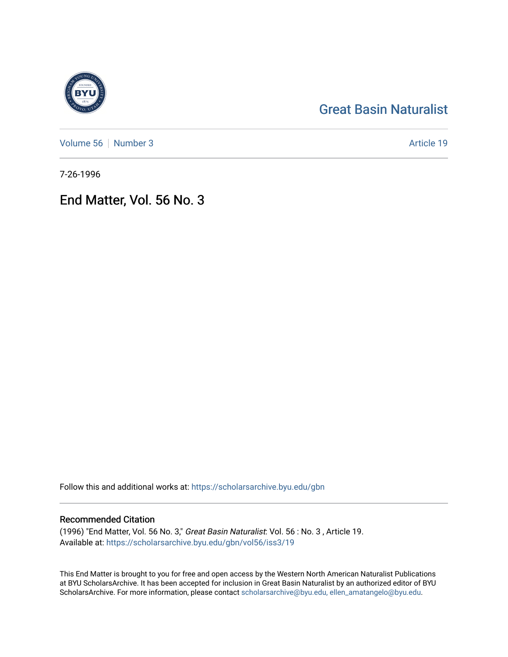## [Great Basin Naturalist](https://scholarsarchive.byu.edu/gbn)

[Volume 56](https://scholarsarchive.byu.edu/gbn/vol56) [Number 3](https://scholarsarchive.byu.edu/gbn/vol56/iss3) Article 19

7-26-1996

## End Matter, Vol. 56 No. 3

Follow this and additional works at: [https://scholarsarchive.byu.edu/gbn](https://scholarsarchive.byu.edu/gbn?utm_source=scholarsarchive.byu.edu%2Fgbn%2Fvol56%2Fiss3%2F19&utm_medium=PDF&utm_campaign=PDFCoverPages) 

#### Recommended Citation

(1996) "End Matter, Vol. 56 No. 3," Great Basin Naturalist: Vol. 56 : No. 3 , Article 19. Available at: [https://scholarsarchive.byu.edu/gbn/vol56/iss3/19](https://scholarsarchive.byu.edu/gbn/vol56/iss3/19?utm_source=scholarsarchive.byu.edu%2Fgbn%2Fvol56%2Fiss3%2F19&utm_medium=PDF&utm_campaign=PDFCoverPages) 

This End Matter is brought to you for free and open access by the Western North American Naturalist Publications at BYU ScholarsArchive. It has been accepted for inclusion in Great Basin Naturalist by an authorized editor of BYU ScholarsArchive. For more information, please contact [scholarsarchive@byu.edu, ellen\\_amatangelo@byu.edu.](mailto:scholarsarchive@byu.edu,%20ellen_amatangelo@byu.edu)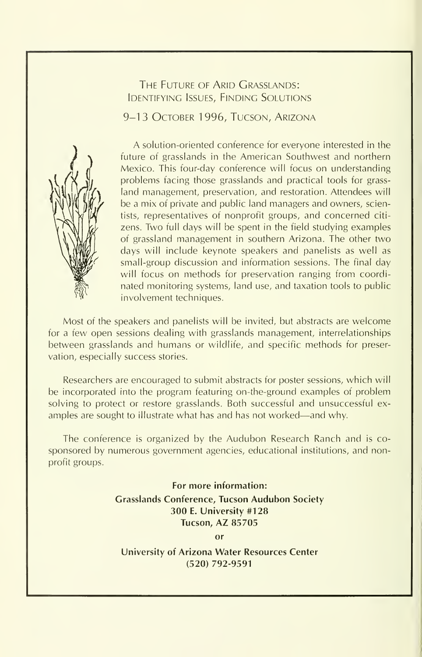#### THE FUTURE OF ARID GRASSLANDS: Identifying Issues, Finding Solutions

9-13 OCTOBER 1996, TUCSON, ARIZONA



A solution-oriented conference for everyone interested in the future of grasslands in the American Southwest and northern Mexico. This four-day conference will focus on understanding problems facing those grasslands and practical tools for grass land management, preservation, and restoration. Attendees will be a mix of private and public land managers and owners, scientists, representatives of nonprofit groups, and concerned citi zens. Two full days will be spent in the field studying examples of grassland management in southern Arizona. The other two days will include keynote speakers and panelists as well as small-group discussion and information sessions. The final day will focus on methods for preservation ranging from coordinated monitoring systems, land use, and taxation tools to public involvement techniques.

Most of the speakers and panelists will be invited, but abstracts are welcome for a few open sessions dealing with grasslands management, interrelationships between grasslands and humans or wildlife, and specific methods for preservation, especially success stories.

Researchers are encouraged to submit abstracts for poster sessions, which will be incorporated into the program featuring on-the-ground examples of problem solving to protect or restore grasslands. Both successful and unsuccessful ex amples are sought to illustrate what has and has not worked—and why.

The conference is organized by the Audubon Research Ranch and is co sponsored by numerous government agencies, educational institutions, and nonprofit groups.

> For more information: Grasslands Conference, Tucson Audubon Society 300 E. University #128 Tucson, AZ 85705 or

University of Arizona Water Resources Center (520) 792-9591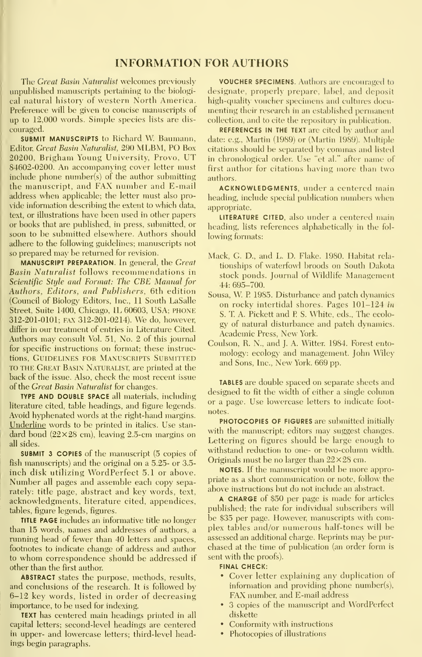#### INFORMATION FOR AUTHORS

The Great Basin Naturalist welcomes previously unpublished manuscripts pertaining to the hiologi cal natural history of western North America. Preference will he given to concise manuscripts of up to 12,000 words. Simple species lists are dis couraged.

**SUBMIT MANUSCRIPTS to Richard W. Baumann,** Editor, Great Basin Naturalist, 290 MLBM, PO Box 20200, Brigham Young University, Provo, UT 84602-0200. An accompanying cover letter must include phone number(s) of the author submitting the manuscript, and FAX number and E-mail address when applicable; the letter must also pro- \ ide infomiation describing the extent to which data, text, or illustrations have been used in other papers or books that are published, in press, submitted, or soon to be submitted elsewhere. Authors should adhere to the following guidelines; manuscripts not so prepared may be returned for revision.

MANUSCRIPT PREPARATION. In general, the Great Basin Naturalist follows recommendations in Scientific Style and Format: The CBE Manual for Authors, Editors, and Publishers, 6th edition (Council of Biology' Editors, Inc., 11 South LaSalle Street, Suite 1400, Chicago, IL 60603, USA; PHONE 312-201-0101; FAX 312-201-0214). We do, however, differ in our treatment of entries in Literature Cited. Authors may consult Vol. 51, No. 2 of this journal for specific instructions on format; these instructions, GUIDELINES FOR MANUSCRIPTS SUBMITTED TO THE Great Basin Naturalist, are printed at the back of the issue. Also, check the most recent issue of the Great Basin Natwalist for changes.

TYPE AND DOUBLE SPACE all materials, including literature cited, table headings, and figure legends. Avoid hyphenated words at the right-hand margins. Underline words to be printed in italics. Use stan dard bond  $(22\times28$  cm), leaving 2.5-cm margins on all sides.

SUBMIT 3 COPIES of the manuscript (5 copies of fish manuscripts) and the original on a 5.25- or 3.5 inch disk utilizing WordPerfect 5.1 or above. Number all pages and assemble each copy separately: title page, abstract and key words, text, acknowledgments, literature cited, appendices, tables, figure legends, figures.

TITLE PAGE includes an informative title no longer than 15 words, names and addresses of authors, a running head of fewer than 40 letters and spaces, footnotes to indicate change of address and author to whom correspondence should be addressed if other than the first author.

ABSTRACT states the purpose, methods, results, and conclusions of the research. It is followed by 6-12 key words, listed in order of decreasing importance, to be used for indexing.

TEXT has centered main headings printed in all capital letters; second-level headings are centered in upper- and lowercase letters; third-level headings begin paragraphs.

VOUCHER SPECIMENS. Authors are encouraged to designate, properly prepare, label, and deposit high-quality voucher specimens and cultures documenting their research in an established permanent collection, and to cite the repository in publication.

REFERENCES IN THE TEXT are cited by author and date: e.g., Martin (1989) or (Martin 1989). Multiple citations should be separated by commas and listed in chronological order. Use "et al." after name of first author for citations having more than two authors.

ACKNOWLEDGMENTS, under <sup>a</sup> centered main heading, include special publication numbers when appropriate.

LITERATURE CITED, also under a centered main heading, lists references alphabetically in the fol lowing formats:

- Mack, G. D., and L. D. Flake. 1980. Habitat rela tionships of waterfowl broods on South Dakota stock ponds. Journal of Wildlife Management 44: 695-700.
- Sousa, W <sup>R</sup> 1985. Disturbance and patch dynamics on rocky intertidal shores. Pages 101-124 in S. T. A. Pickett and P. S. White, eds., The ecology of natural disturbance and patch dynamics. Academic Press, New York.
- Coulson, R. N., and J. A. Witter. 1984. Forest ento mology: ecology and management. John Wiley and Sons, Inc., New York. 669 pp.

TABLES are double spaced on separate sheets and designed to fit the width of either a single column or a page. Use lowercase letters to indicate foot notes.

PHOTOCOPIES OF FIGURES are submitted initially with the manuscript; editors may suggest changes. Lettering on figures should be large enough to withstand reduction to one- or two-column width. Originals must be no larger than  $22\times28$  cm.

NOTES. If the manuscript would be more appropriate as a short communication or note, follow the above instructions but do not include an abstract.

A CHARGE of \$50 per page is made for articles published; the rate for individual subscribers will be \$35 per page. However, manuscripts with complex tables and/or numerous half-tones will be assessed an additional charge. Reprints may be pur chased at the time of publication (an order form is sent with the proofs).

#### FINAL CHECK:

- Cover letter explaining any duplication of information and providing phone number(s), FAX number, and E-mail address
- 3 copies of the manuscript and WordPerfect diskette
- Conformity with instructions
- Photocopies of illustrations